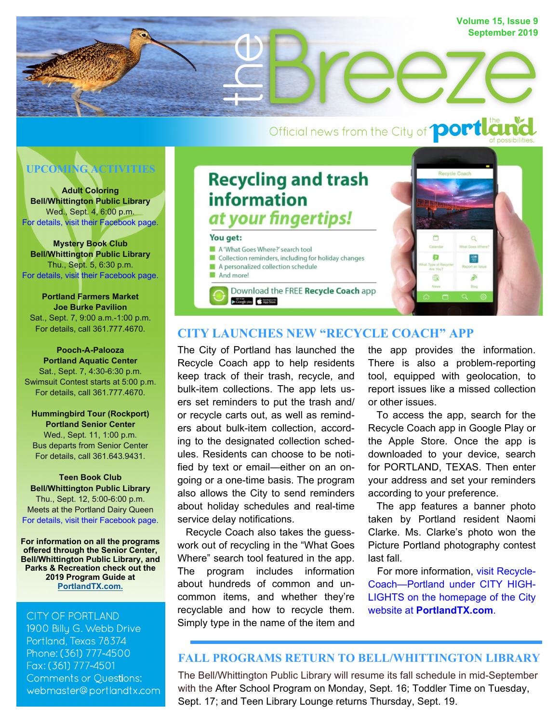

# Official news from the City of **portla** the



**Adult Coloring Bell/Whittington Public Library**  Wed., Sept. 4, 6:00 p.m. [For details, visit their Facebook page.](https://www.facebook.com/BellWhittingtonLibrary)

**Mystery Book Club Bell/Whittington Public Library**  Thu., Sept. 5, 6:30 p.m. [For details, visit their Facebook page.](https://www.facebook.com/BellWhittingtonLibrary) 

**Portland Farmers Market Joe Burke Pavilion**  Sat., Sept. 7, 9:00 a.m.-1:00 p.m. For details, call 361.777.4670.

**Pooch-A-Palooza Portland Aquatic Center**  Sat., Sept. 7, 4:30-6:30 p.m. Swimsuit Contest starts at 5:00 p.m. For details, call 361.777.4670.

**Hummingbird Tour (Rockport) Portland Senior Center**  Wed., Sept. 11, 1:00 p.m. Bus departs from Senior Center For details, call 361.643.9431.

**Teen Book Club Bell/Whittington Public Library**  Thu., Sept. 12, 5:00-6:00 p.m. Meets at the Portland Dairy Queen [For details, visit their Facebook page.](https://www.facebook.com/BellWhittingtonLibrary) 

**For information on all the programs offered through the Senior Center, Bell/Whittington Public Library, and Parks & Recreation check out the 2019 Program Guide at [PortlandTX.com](https://www.portlandtx.com/DocumentCenter/View/2569/Final-Corrected-2019-Program-Guide-PDF).**

#### **CITY OF PORTLAND**

1900 Billu G. Webb Drive Portland, Texas 78374 Phone: (361) 777-4500 Fax: (361) 777-4501 **Comments or Questions:** webmaster@portlandtx.com

## **Recycling and trash information** at your fingertips!

#### You get:

A 'What Goes Where?' search tool

Collection reminders, including for holiday changes A personalized collection schedule

And morel

Download the FREE Recycle Coach app Google play App Store



### **CITY LAUNCHES NEW "RECYCLE COACH" APP**

The City of Portland has launched the Recycle Coach app to help residents keep track of their trash, recycle, and bulk-item collections. The app lets users set reminders to put the trash and/ or recycle carts out, as well as reminders about bulk-item collection, according to the designated collection schedules. Residents can choose to be notified by text or email—either on an ongoing or a one-time basis. The program also allows the City to send reminders about holiday schedules and real-time service delay notifications.

 Recycle Coach also takes the guesswork out of recycling in the "What Goes Where" search tool featured in the app. The program includes information about hundreds of common and uncommon items, and whether they're recyclable and how to recycle them. Simply type in the name of the item and the app provides the information. There is also a problem-reporting tool, equipped with geolocation, to report issues like a missed collection or other issues.

 To access the app, search for the Recycle Coach app in Google Play or the Apple Store. Once the app is downloaded to your device, search for PORTLAND, TEXAS. Then enter your address and set your reminders according to your preference.

 The app features a banner photo taken by Portland resident Naomi Clarke. Ms. Clarke's photo won the Picture Portland photography contest last fall.

 [For more information, visit Recycle-](https://www.portlandtx.com/CivicAlerts.aspx?AID=312)Coach—Portland under CITY HIGH-LIGHTS on the homepage of the City website at **PortlandTX.com**.

#### **FALL PROGRAMS RETURN TO BELL/WHITTINGTON LIBRARY**

The Bell/Whittington Public Library will resume its fall schedule in mid-September with the After School Program on Monday, Sept. 16; Toddler Time on Tuesday, Sept. 17; and Teen Library Lounge returns Thursday, Sept. 19.